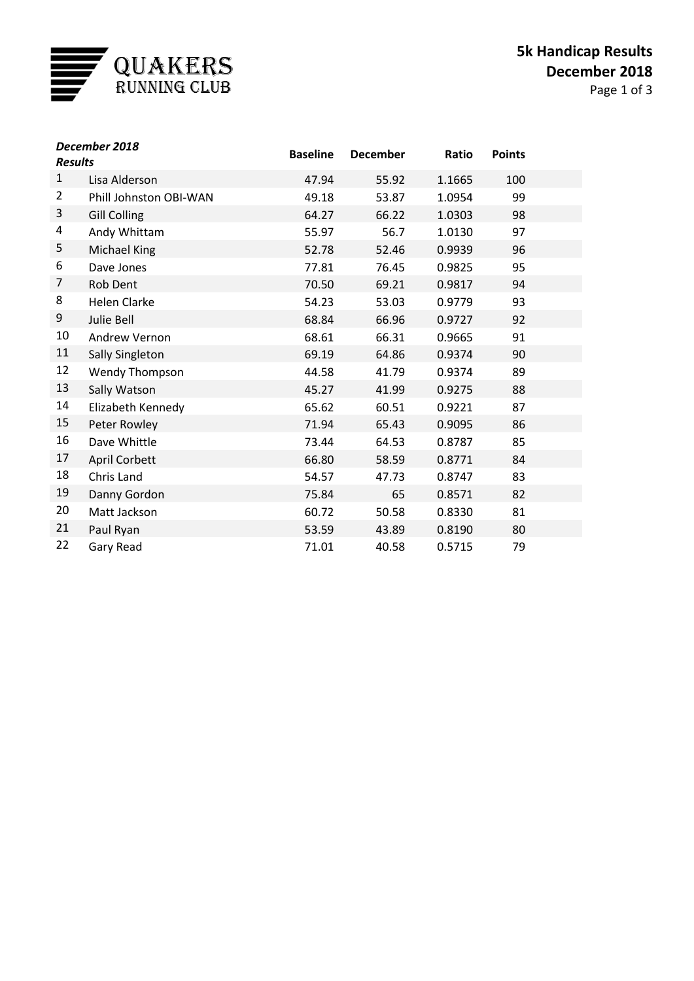

| December 2018<br><b>Results</b> |                        | <b>Baseline</b> | <b>December</b> | Ratio  | <b>Points</b> |  |
|---------------------------------|------------------------|-----------------|-----------------|--------|---------------|--|
| $\mathbf{1}$                    | Lisa Alderson          | 47.94           | 55.92           | 1.1665 | 100           |  |
| $\overline{2}$                  | Phill Johnston OBI-WAN | 49.18           | 53.87           | 1.0954 | 99            |  |
| 3                               | <b>Gill Colling</b>    | 64.27           | 66.22           | 1.0303 | 98            |  |
| 4                               | Andy Whittam           | 55.97           | 56.7            | 1.0130 | 97            |  |
| 5                               | <b>Michael King</b>    | 52.78           | 52.46           | 0.9939 | 96            |  |
| 6                               | Dave Jones             | 77.81           | 76.45           | 0.9825 | 95            |  |
| 7                               | Rob Dent               | 70.50           | 69.21           | 0.9817 | 94            |  |
| 8                               | <b>Helen Clarke</b>    | 54.23           | 53.03           | 0.9779 | 93            |  |
| 9                               | Julie Bell             | 68.84           | 66.96           | 0.9727 | 92            |  |
| 10                              | Andrew Vernon          | 68.61           | 66.31           | 0.9665 | 91            |  |
| 11                              | Sally Singleton        | 69.19           | 64.86           | 0.9374 | 90            |  |
| 12                              | Wendy Thompson         | 44.58           | 41.79           | 0.9374 | 89            |  |
| 13                              | Sally Watson           | 45.27           | 41.99           | 0.9275 | 88            |  |
| 14                              | Elizabeth Kennedy      | 65.62           | 60.51           | 0.9221 | 87            |  |
| 15                              | Peter Rowley           | 71.94           | 65.43           | 0.9095 | 86            |  |
| 16                              | Dave Whittle           | 73.44           | 64.53           | 0.8787 | 85            |  |
| 17                              | <b>April Corbett</b>   | 66.80           | 58.59           | 0.8771 | 84            |  |
| 18                              | Chris Land             | 54.57           | 47.73           | 0.8747 | 83            |  |
| 19                              | Danny Gordon           | 75.84           | 65              | 0.8571 | 82            |  |
| 20                              | Matt Jackson           | 60.72           | 50.58           | 0.8330 | 81            |  |
| 21                              | Paul Ryan              | 53.59           | 43.89           | 0.8190 | 80            |  |
| 22                              | Gary Read              | 71.01           | 40.58           | 0.5715 | 79            |  |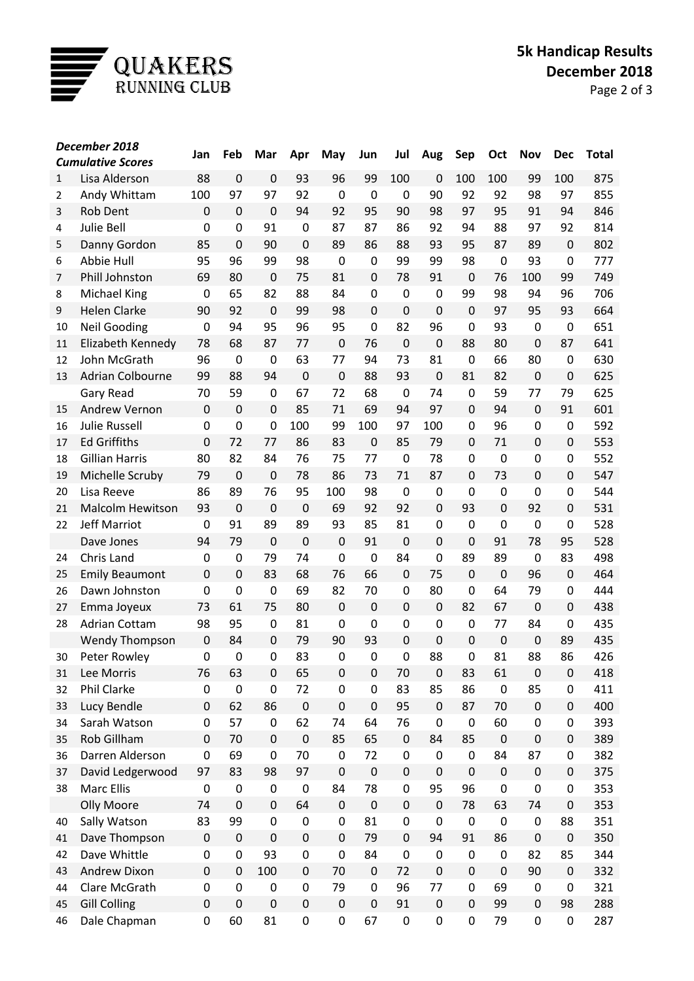

| December 2018            |                         | Jan         | Feb              | Mar              | Apr            | May         | Jun         | Jul         | Aug              | Sep              | Oct         | <b>Nov</b>       | <b>Dec</b>  | <b>Total</b> |
|--------------------------|-------------------------|-------------|------------------|------------------|----------------|-------------|-------------|-------------|------------------|------------------|-------------|------------------|-------------|--------------|
| <b>Cumulative Scores</b> |                         |             |                  |                  |                |             |             |             |                  |                  |             |                  |             |              |
| $\mathbf{1}$             | Lisa Alderson           | 88          | $\mathbf 0$      | $\mathbf 0$      | 93             | 96          | 99          | 100         | 0                | 100              | 100         | 99               | 100         | 875          |
| $\overline{2}$           | Andy Whittam            | 100         | 97               | 97               | 92             | 0           | $\mathbf 0$ | 0           | 90               | 92               | 92          | 98               | 97          | 855          |
| 3                        | <b>Rob Dent</b>         | $\mathbf 0$ | $\mathbf 0$      | $\mathbf 0$      | 94             | 92          | 95          | 90          | 98               | 97               | 95          | 91               | 94          | 846          |
| 4                        | <b>Julie Bell</b>       | $\mathbf 0$ | 0                | 91               | $\mathbf 0$    | 87          | 87          | 86          | 92               | 94               | 88          | 97               | 92          | 814          |
| 5                        | Danny Gordon            | 85          | $\mathbf 0$      | 90               | $\overline{0}$ | 89          | 86          | 88          | 93               | 95               | 87          | 89               | 0           | 802          |
| 6                        | Abbie Hull              | 95          | 96               | 99               | 98             | 0           | 0           | 99          | 99               | 98               | $\mathbf 0$ | 93               | 0           | 777          |
| $\overline{7}$           | Phill Johnston          | 69          | 80               | $\mathbf 0$      | 75             | 81          | 0           | 78          | 91               | 0                | 76          | 100              | 99          | 749          |
| 8                        | <b>Michael King</b>     | 0           | 65               | 82               | 88             | 84          | 0           | 0           | 0                | 99               | 98          | 94               | 96          | 706          |
| 9                        | <b>Helen Clarke</b>     | 90          | 92               | $\mathbf 0$      | 99             | 98          | $\mathbf 0$ | $\mathbf 0$ | $\mathbf 0$      | 0                | 97          | 95               | 93          | 664          |
| 10                       | <b>Neil Gooding</b>     | 0           | 94               | 95               | 96             | 95          | $\mathbf 0$ | 82          | 96               | $\mathbf 0$      | 93          | $\mathbf 0$      | $\mathbf 0$ | 651          |
| 11                       | Elizabeth Kennedy       | 78          | 68               | 87               | 77             | 0           | 76          | $\mathbf 0$ | $\mathbf 0$      | 88               | 80          | $\mathbf 0$      | 87          | 641          |
| 12                       | John McGrath            | 96          | $\boldsymbol{0}$ | $\boldsymbol{0}$ | 63             | 77          | 94          | 73          | 81               | $\mathbf 0$      | 66          | 80               | 0           | 630          |
| 13                       | <b>Adrian Colbourne</b> | 99          | 88               | 94               | $\mathbf 0$    | 0           | 88          | 93          | $\mathbf 0$      | 81               | 82          | $\boldsymbol{0}$ | $\pmb{0}$   | 625          |
|                          | <b>Gary Read</b>        | 70          | 59               | 0                | 67             | 72          | 68          | $\mathbf 0$ | 74               | 0                | 59          | 77               | 79          | 625          |
| 15                       | Andrew Vernon           | $\mathbf 0$ | $\mathbf 0$      | $\mathbf 0$      | 85             | 71          | 69          | 94          | 97               | $\Omega$         | 94          | $\boldsymbol{0}$ | 91          | 601          |
| 16                       | <b>Julie Russell</b>    | 0           | 0                | 0                | 100            | 99          | 100         | 97          | 100              | 0                | 96          | 0                | 0           | 592          |
| 17                       | <b>Ed Griffiths</b>     | $\mathbf 0$ | 72               | 77               | 86             | 83          | $\mathbf 0$ | 85          | 79               | 0                | 71          | 0                | 0           | 553          |
| 18                       | <b>Gillian Harris</b>   | 80          | 82               | 84               | 76             | 75          | 77          | $\mathbf 0$ | 78               | 0                | 0           | 0                | 0           | 552          |
| 19                       | Michelle Scruby         | 79          | 0                | $\mathbf 0$      | 78             | 86          | 73          | 71          | 87               | $\Omega$         | 73          | $\boldsymbol{0}$ | 0           | 547          |
| 20                       | Lisa Reeve              | 86          | 89               | 76               | 95             | 100         | 98          | 0           | 0                | $\mathbf 0$      | $\mathbf 0$ | 0                | 0           | 544          |
| 21                       | <b>Malcolm Hewitson</b> | 93          | $\boldsymbol{0}$ | $\mathbf 0$      | $\mathbf 0$    | 69          | 92          | 92          | $\Omega$         | 93               | $\mathbf 0$ | 92               | 0           | 531          |
| 22                       | <b>Jeff Marriot</b>     | 0           | 91               | 89               | 89             | 93          | 85          | 81          | 0                | 0                | $\mathbf 0$ | 0                | 0           | 528          |
|                          | Dave Jones              | 94          | 79               | $\mathbf 0$      | $\mathbf 0$    | 0           | 91          | $\mathbf 0$ | 0                | 0                | 91          | 78               | 95          | 528          |
| 24                       | Chris Land              | 0           | 0                | 79               | 74             | 0           | 0           | 84          | 0                | 89               | 89          | $\mathbf 0$      | 83          | 498          |
| 25                       | <b>Emily Beaumont</b>   | $\mathbf 0$ | $\boldsymbol{0}$ | 83               | 68             | 76          | 66          | $\mathbf 0$ | 75               | 0                | $\mathbf 0$ | 96               | 0           | 464          |
| 26                       | Dawn Johnston           | $\mathbf 0$ | $\boldsymbol{0}$ | $\mathbf 0$      | 69             | 82          | 70          | 0           | 80               | $\mathbf 0$      | 64          | 79               | 0           | 444          |
| 27                       | Emma Joyeux             | 73          | 61               | 75               | 80             | $\mathbf 0$ | $\mathbf 0$ | $\mathbf 0$ | $\overline{0}$   | 82               | 67          | $\mathbf 0$      | 0           | 438          |
| 28                       | <b>Adrian Cottam</b>    | 98          | 95               | 0                | 81             | 0           | 0           | 0           | 0                | 0                | 77          | 84               | 0           | 435          |
|                          | <b>Wendy Thompson</b>   | $\mathbf 0$ | 84               | $\mathbf 0$      | 79             | 90          | 93          | $\mathbf 0$ | $\mathbf 0$      | $\mathbf 0$      | $\mathbf 0$ | $\mathbf 0$      | 89          | 435          |
| 30                       | Peter Rowley            | 0           | 0                | 0                | 83             | 0           | 0           | 0           | 88               | 0                | 81          | 88               | 86          | 426          |
| 31                       | Lee Morris              | 76          | 63               | 0                | 65             | 0           | $\pmb{0}$   | 70          | 0                | 83               | 61          | 0                | 0           | 418          |
| 32                       | Phil Clarke             | $\pmb{0}$   | $\pmb{0}$        | $\pmb{0}$        | 72             | $\pmb{0}$   | $\pmb{0}$   | 83          | 85               | 86               | $\pmb{0}$   | 85               | 0           | 411          |
| 33                       | Lucy Bendle             | 0           | 62               | 86               | $\mathbf 0$    | $\pmb{0}$   | $\pmb{0}$   | 95          | $\pmb{0}$        | 87               | 70          | $\pmb{0}$        | 0           | 400          |
| 34                       | Sarah Watson            | 0           | 57               | 0                | 62             | 74          | 64          | 76          | 0                | $\pmb{0}$        | 60          | 0                | 0           | 393          |
| 35                       | Rob Gillham             | $\pmb{0}$   | 70               | $\pmb{0}$        | $\mathbf 0$    | 85          | 65          | $\pmb{0}$   | 84               | 85               | $\mathbf 0$ | 0                | 0           | 389          |
| 36                       | Darren Alderson         | 0           | 69               | $\mathbf 0$      | 70             | 0           | 72          | 0           | $\pmb{0}$        | 0                | 84          | 87               | 0           | 382          |
| 37                       | David Ledgerwood        | 97          | 83               | 98               | 97             | $\pmb{0}$   | $\pmb{0}$   | $\pmb{0}$   | $\boldsymbol{0}$ | $\mathbf 0$      | $\mathbf 0$ | $\pmb{0}$        | 0           | 375          |
| 38                       | <b>Marc Ellis</b>       | $\pmb{0}$   | 0                | 0                | $\mathbf 0$    | 84          | 78          | 0           | 95               | 96               | $\pmb{0}$   | 0                | 0           | 353          |
|                          | <b>Olly Moore</b>       | 74          | $\pmb{0}$        | 0                | 64             | $\pmb{0}$   | $\pmb{0}$   | $\mathbf 0$ | 0                | 78               | 63          | 74               | 0           | 353          |
| 40                       | Sally Watson            | 83          | 99               | $\pmb{0}$        | 0              | $\pmb{0}$   | 81          | 0           | 0                | $\boldsymbol{0}$ | $\pmb{0}$   | $\pmb{0}$        | 88          | 351          |
| 41                       | Dave Thompson           | $\pmb{0}$   | $\pmb{0}$        | $\mathbf 0$      | $\mathbf 0$    | 0           | 79          | $\mathbf 0$ | 94               | 91               | 86          | 0                | 0           | 350          |
| 42                       | Dave Whittle            | 0           | 0                | 93               | $\mathbf 0$    | $\pmb{0}$   | 84          | $\pmb{0}$   | 0                | 0                | $\pmb{0}$   | 82               | 85          | 344          |
| 43                       | Andrew Dixon            | $\pmb{0}$   | 0                | 100              | $\pmb{0}$      | 70          | $\pmb{0}$   | 72          | $\mathbf 0$      | $\boldsymbol{0}$ | $\mathbf 0$ | 90               | $\pmb{0}$   | 332          |
| 44                       | Clare McGrath           | 0           | 0                | $\boldsymbol{0}$ | 0              | 79          | $\pmb{0}$   | 96          | 77               | 0                | 69          | 0                | 0           | 321          |
| 45                       | <b>Gill Colling</b>     | $\pmb{0}$   | $\pmb{0}$        | $\pmb{0}$        | $\pmb{0}$      | $\pmb{0}$   | $\pmb{0}$   | 91          | $\pmb{0}$        | 0                | 99          | $\mathbf 0$      | 98          | 288          |
| 46                       | Dale Chapman            | $\pmb{0}$   | 60               | 81               | $\pmb{0}$      | $\pmb{0}$   | 67          | 0           | 0                | 0                | 79          | 0                | 0           | 287          |